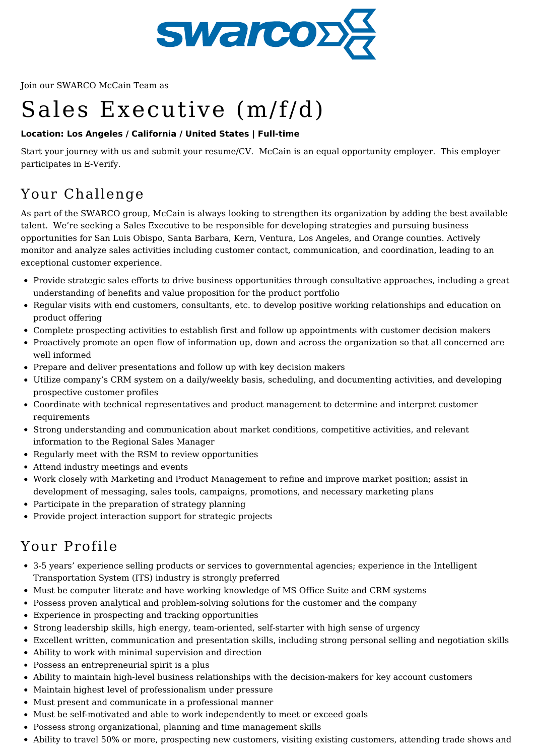

Join our SWARCO McCain Team as

# Sales Executive (m/f/d)

#### **Location: Los Angeles / California / United States | Full-time**

Start your journey with us and submit your resume/CV. McCain is an equal opportunity employer. This employer participates in E-Verify.

## Your Challenge

As part of the SWARCO group, McCain is always looking to strengthen its organization by adding the best available talent. We're seeking a Sales Executive to be responsible for developing strategies and pursuing business opportunities for San Luis Obispo, Santa Barbara, Kern, Ventura, Los Angeles, and Orange counties. Actively monitor and analyze sales activities including customer contact, communication, and coordination, leading to an exceptional customer experience.

- Provide strategic sales efforts to drive business opportunities through consultative approaches, including a great understanding of benefits and value proposition for the product portfolio
- Regular visits with end customers, consultants, etc. to develop positive working relationships and education on product offering
- Complete prospecting activities to establish first and follow up appointments with customer decision makers
- Proactively promote an open flow of information up, down and across the organization so that all concerned are well informed
- Prepare and deliver presentations and follow up with key decision makers
- Utilize company's CRM system on a daily/weekly basis, scheduling, and documenting activities, and developing prospective customer profiles
- Coordinate with technical representatives and product management to determine and interpret customer requirements
- Strong understanding and communication about market conditions, competitive activities, and relevant information to the Regional Sales Manager
- Regularly meet with the RSM to review opportunities
- Attend industry meetings and events
- Work closely with Marketing and Product Management to refine and improve market position; assist in development of messaging, sales tools, campaigns, promotions, and necessary marketing plans
- Participate in the preparation of strategy planning
- Provide project interaction support for strategic projects

## Your Profile

- 3-5 years' experience selling products or services to governmental agencies; experience in the Intelligent Transportation System (ITS) industry is strongly preferred
- Must be computer literate and have working knowledge of MS Office Suite and CRM systems
- Possess proven analytical and problem-solving solutions for the customer and the company
- Experience in prospecting and tracking opportunities
- Strong leadership skills, high energy, team-oriented, self-starter with high sense of urgency
- Excellent written, communication and presentation skills, including strong personal selling and negotiation skills
- Ability to work with minimal supervision and direction
- Possess an entrepreneurial spirit is a plus
- Ability to maintain high-level business relationships with the decision-makers for key account customers
- Maintain highest level of professionalism under pressure
- Must present and communicate in a professional manner
- Must be self-motivated and able to work independently to meet or exceed goals
- Possess strong organizational, planning and time management skills
- Ability to travel 50% or more, prospecting new customers, visiting existing customers, attending trade shows and